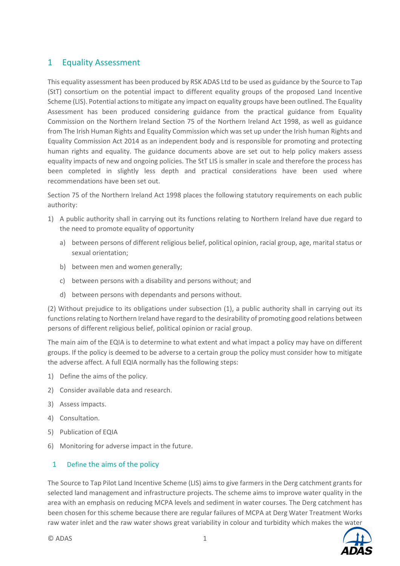### 1 Equality Assessment

This equality assessment has been produced by RSK ADAS Ltd to be used as guidance by the Source to Tap (StT) consortium on the potential impact to different equality groups of the proposed Land Incentive Scheme (LIS). Potential actions to mitigate any impact on equality groups have been outlined. The Equality Assessment has been produced considering guidance from the practical guidance from Equality Commission on the Northern Ireland Section 75 of the Northern Ireland Act 1998, as well as guidance from The Irish Human Rights and Equality Commission which was set up under the Irish human Rights and Equality Commission Act 2014 as an independent body and is responsible for promoting and protecting human rights and equality. The guidance documents above are set out to help policy makers assess equality impacts of new and ongoing policies. The StT LIS is smaller in scale and therefore the process has been completed in slightly less depth and practical considerations have been used where recommendations have been set out.

Section 75 of the Northern Ireland Act 1998 places the following statutory requirements on each public authority:

- 1) A public authority shall in carrying out its functions relating to Northern Ireland have due regard to the need to promote equality of opportunity
	- a) between persons of different religious belief, political opinion, racial group, age, marital status or sexual orientation;
	- b) between men and women generally;
	- c) between persons with a disability and persons without; and
	- d) between persons with dependants and persons without.

(2) Without prejudice to its obligations under subsection (1), a public authority shall in carrying out its functions relating to Northern Ireland have regard to the desirability of promoting good relations between persons of different religious belief, political opinion or racial group.

The main aim of the EQIA is to determine to what extent and what impact a policy may have on different groups. If the policy is deemed to be adverse to a certain group the policy must consider how to mitigate the adverse affect. A full EQIA normally has the following steps:

- 1) Define the aims of the policy.
- 2) Consider available data and research.
- 3) Assess impacts.
- 4) Consultation.
- 5) Publication of EQIA
- 6) Monitoring for adverse impact in the future.

### 1 Define the aims of the policy

The Source to Tap Pilot Land Incentive Scheme (LIS) aims to give farmers in the Derg catchment grants for selected land management and infrastructure projects. The scheme aims to improve water quality in the area with an emphasis on reducing MCPA levels and sediment in water courses. The Derg catchment has been chosen for this scheme because there are regular failures of MCPA at Derg Water Treatment Works raw water inlet and the raw water shows great variability in colour and turbidity which makes the water

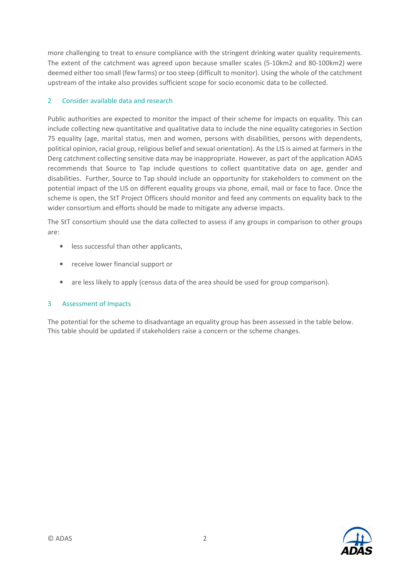more challenging to treat to ensure compliance with the stringent drinking water quality requirements. The extent of the catchment was agreed upon because smaller scales (5-10km2 and 80-100km2) were deemed either too small (few farms) or too steep (difficult to monitor). Using the whole of the catchment upstream of the intake also provides sufficient scope for socio economic data to be collected.

### 2 Consider available data and research

Public authorities are expected to monitor the impact of their scheme for impacts on equality. This can include collecting new quantitative and qualitative data to include the nine equality categories in Section 75 equality (age, marital status, men and women, persons with disabilities, persons with dependents, political opinion, racial group, religious belief and sexual orientation). As the LIS is aimed at farmers in the Derg catchment collecting sensitive data may be inappropriate. However, as part of the application ADAS recommends that Source to Tap include questions to collect quantitative data on age, gender and disabilities. Further, Source to Tap should include an opportunity for stakeholders to comment on the potential impact of the LIS on different equality groups via phone, email, mail or face to face. Once the scheme is open, the StT Project Officers should monitor and feed any comments on equality back to the wider consortium and efforts should be made to mitigate any adverse impacts.

The StT consortium should use the data collected to assess if any groups in comparison to other groups are:

- less successful than other applicants,
- receive lower financial support or
- are less likely to apply (census data of the area should be used for group comparison).

#### 3 Assessment of Impacts

The potential for the scheme to disadvantage an equality group has been assessed in the table below. This table should be updated if stakeholders raise a concern or the scheme changes.

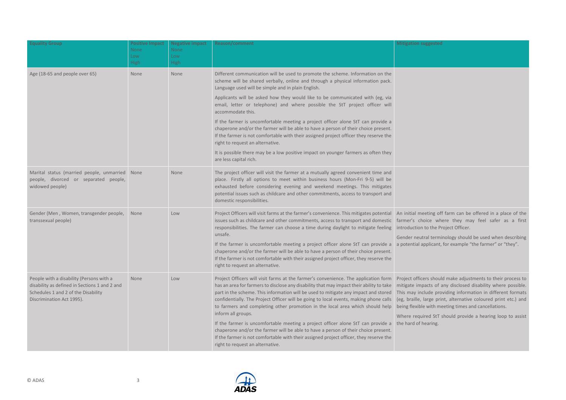I terminology should be used when describing a potential applicant, for example "the farmer" or "they".

| <b>Equality Group</b>                                                                                                                                         | <b>Positive Impact</b><br><b>None</b><br>Low<br><b>High</b> | <b>Negative impact</b><br>None<br>Low<br><b>High</b> | <b>Reason/comment</b>                                                                                                                                                                                                                                                                                                                                                                                                                                                  | <b>Mitigation suggested</b>                                                                                                  |
|---------------------------------------------------------------------------------------------------------------------------------------------------------------|-------------------------------------------------------------|------------------------------------------------------|------------------------------------------------------------------------------------------------------------------------------------------------------------------------------------------------------------------------------------------------------------------------------------------------------------------------------------------------------------------------------------------------------------------------------------------------------------------------|------------------------------------------------------------------------------------------------------------------------------|
| Age (18-65 and people over 65)                                                                                                                                | None                                                        | None                                                 | Different communication will be used to promote the scheme. Information on the<br>scheme will be shared verbally, online and through a physical information pack.<br>Language used will be simple and in plain English.                                                                                                                                                                                                                                                |                                                                                                                              |
|                                                                                                                                                               |                                                             |                                                      | Applicants will be asked how they would like to be communicated with (eg, via<br>email, letter or telephone) and where possible the StT project officer will<br>accommodate this.                                                                                                                                                                                                                                                                                      |                                                                                                                              |
|                                                                                                                                                               |                                                             |                                                      | If the farmer is uncomfortable meeting a project officer alone StT can provide a<br>chaperone and/or the farmer will be able to have a person of their choice present.<br>If the farmer is not comfortable with their assigned project officer they reserve the<br>right to request an alternative.                                                                                                                                                                    |                                                                                                                              |
|                                                                                                                                                               |                                                             |                                                      | It is possible there may be a low positive impact on younger farmers as often they<br>are less capital rich.                                                                                                                                                                                                                                                                                                                                                           |                                                                                                                              |
| Marital status (married people, unmarried None<br>people, divorced or separated people,<br>widowed people)                                                    |                                                             | None                                                 | The project officer will visit the farmer at a mutually agreed convenient time and<br>place. Firstly all options to meet within business hours (Mon-Fri 9-5) will be<br>exhausted before considering evening and weekend meetings. This mitigates<br>potential issues such as childcare and other commitments, access to transport and<br>domestic responsibilities.                                                                                                   |                                                                                                                              |
| Gender (Men, Women, transgender people,<br>transsexual people)                                                                                                | None                                                        | Low                                                  | Project Officers will visit farms at the farmer's convenience. This mitigates potential<br>issues such as childcare and other commitments, access to transport and domestic<br>responsibilities. The farmer can choose a time during daylight to mitigate feeling<br>unsafe.                                                                                                                                                                                           | An initial meeting of<br>farmer's choice wh<br>introduction to the PI<br>Gender neutral termi<br>a potential applicant,      |
|                                                                                                                                                               |                                                             |                                                      | If the farmer is uncomfortable meeting a project officer alone StT can provide a<br>chaperone and/or the farmer will be able to have a person of their choice present.<br>If the farmer is not comfortable with their assigned project officer, they reserve the<br>right to request an alternative.                                                                                                                                                                   |                                                                                                                              |
| People with a disability (Persons with a<br>disability as defined in Sections 1 and 2 and<br>Schedules 1 and 2 of the Disability<br>Discrimination Act 1995). | None                                                        | Low                                                  | Project Officers will visit farms at the farmer's convenience. The application form<br>has an area for farmers to disclose any disability that may impact their ability to take<br>part in the scheme. This information will be used to mitigate any impact and stored<br>confidentially. The Project Officer will be going to local events, making phone calls<br>to farmers and completing other promotion in the local area which should help<br>inform all groups. | Project officers shoul<br>mitigate impacts of a<br>This may include pro<br>(eg, braille, large pri<br>being flexible with me |
|                                                                                                                                                               |                                                             |                                                      | If the farmer is uncomfortable meeting a project officer alone StT can provide a<br>chaperone and/or the farmer will be able to have a person of their choice present.<br>If the farmer is not comfortable with their assigned project officer, they reserve the<br>right to request an alternative.                                                                                                                                                                   | Where required StT:<br>the hard of hearing.                                                                                  |



Where required StT should provide a hearing loop to assist earing.

An initial meeting off farm can be offered in a place of the farmer's choice where they may feel safer as a first introduction to the Project Officer.

Project officers should make adjustments to their process to acts of any disclosed disability where possible. This may include providing information in different formats (eg, braille, large print, alternative coloured print etc.) and being flexible with meeting times and cancellations.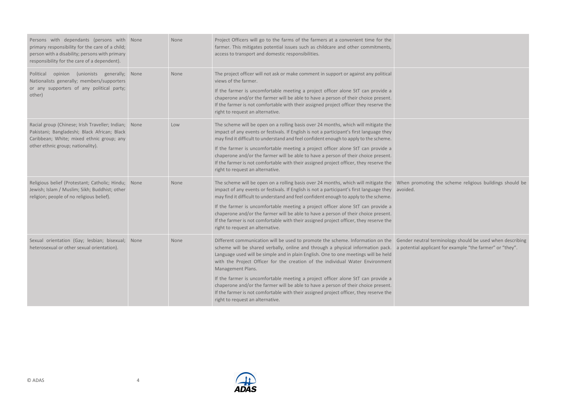Gender neutral terminology should be used when describing pplicant for example "the farmer" or "they".

| Persons with dependants (persons with None<br>primary responsibility for the care of a child;<br>person with a disability; persons with primary<br>responsibility for the care of a dependent). |      | None | Project Officers will go to the farms of the farmers at a convenient time for the<br>farmer. This mitigates potential issues such as childcare and other commitments,<br>access to transport and domestic responsibilities.                                                                                                                                                                                                                                                                                                                                                                                                                                                                        |                        |
|-------------------------------------------------------------------------------------------------------------------------------------------------------------------------------------------------|------|------|----------------------------------------------------------------------------------------------------------------------------------------------------------------------------------------------------------------------------------------------------------------------------------------------------------------------------------------------------------------------------------------------------------------------------------------------------------------------------------------------------------------------------------------------------------------------------------------------------------------------------------------------------------------------------------------------------|------------------------|
| Political<br>opinion<br>(unionists<br>generally;<br>Nationalists generally; members/supporters<br>or any supporters of any political party;<br>other)                                           | None | None | The project officer will not ask or make comment in support or against any political<br>views of the farmer.<br>If the farmer is uncomfortable meeting a project officer alone StT can provide a<br>chaperone and/or the farmer will be able to have a person of their choice present.<br>If the farmer is not comfortable with their assigned project officer they reserve the<br>right to request an alternative.                                                                                                                                                                                                                                                                                |                        |
| Racial group (Chinese; Irish Traveller; Indian;<br>Pakistani; Bangladeshi; Black African; Black<br>Caribbean; White; mixed ethnic group; any<br>other ethnic group; nationality).               | None | Low  | The scheme will be open on a rolling basis over 24 months, which will mitigate the<br>impact of any events or festivals. If English is not a participant's first language they<br>may find it difficult to understand and feel confident enough to apply to the scheme.<br>If the farmer is uncomfortable meeting a project officer alone StT can provide a<br>chaperone and/or the farmer will be able to have a person of their choice present.<br>If the farmer is not comfortable with their assigned project officer, they reserve the<br>right to request an alternative.                                                                                                                    |                        |
| Religious belief (Protestant; Catholic; Hindu;<br>Jewish; Islam / Muslim; Sikh; Buddhist; other<br>religion; people of no religious belief).                                                    | None | None | The scheme will be open on a rolling basis over 24 months, which will mitigate the<br>impact of any events or festivals. If English is not a participant's first language they<br>may find it difficult to understand and feel confident enough to apply to the scheme.<br>If the farmer is uncomfortable meeting a project officer alone StT can provide a<br>chaperone and/or the farmer will be able to have a person of their choice present.<br>If the farmer is not comfortable with their assigned project officer, they reserve the<br>right to request an alternative.                                                                                                                    | When promo<br>avoided. |
| Sexual orientation (Gay; lesbian; bisexual;<br>heterosexual or other sexual orientation).                                                                                                       | None | None | Different communication will be used to promote the scheme. Information on the Gender neutr<br>scheme will be shared verbally, online and through a physical information pack. a potential ap<br>Language used will be simple and in plain English. One to one meetings will be held<br>with the Project Officer for the creation of the individual Water Environment<br>Management Plans.<br>If the farmer is uncomfortable meeting a project officer alone StT can provide a<br>chaperone and/or the farmer will be able to have a person of their choice present.<br>If the farmer is not comfortable with their assigned project officer, they reserve the<br>right to request an alternative. |                        |



When promoting the scheme religious buildings should be